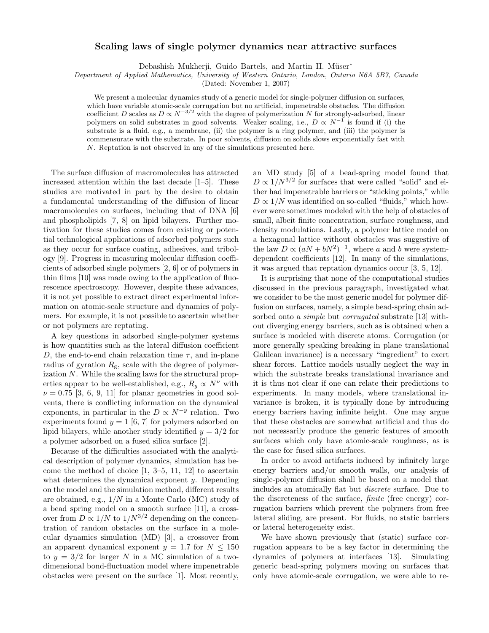## Scaling laws of single polymer dynamics near attractive surfaces

Debashish Mukherji, Guido Bartels, and Martin H. Müser<sup>\*</sup>

Department of Applied Mathematics, University of Western Ontario, London, Ontario N6A 5B7, Canada

(Dated: November 1, 2007)

We present a molecular dynamics study of a generic model for single-polymer diffusion on surfaces, which have variable atomic-scale corrugation but no artificial, impenetrable obstacles. The diffusion coefficient D scales as  $D \propto N^{-3/2}$  with the degree of polymerization N for strongly-adsorbed, linear polymers on solid substrates in good solvents. Weaker scaling, i.e.,  $D \propto N^{-1}$  is found if (i) the substrate is a fluid, e.g., a membrane, (ii) the polymer is a ring polymer, and (iii) the polymer is commensurate with the substrate. In poor solvents, diffusion on solids slows exponentially fast with N. Reptation is not observed in any of the simulations presented here.

The surface diffusion of macromolecules has attracted increased attention within the last decade [1–5]. These studies are motivated in part by the desire to obtain a fundamental understanding of the diffusion of linear macromolecules on surfaces, including that of DNA [6] and phospholipids [7, 8] on lipid bilayers. Further motivation for these studies comes from existing or potential technological applications of adsorbed polymers such as they occur for surface coating, adhesives, and tribology [9]. Progress in measuring molecular diffusion coefficients of adsorbed single polymers [2, 6] or of polymers in thin films [10] was made owing to the application of fluorescence spectroscopy. However, despite these advances, it is not yet possible to extract direct experimental information on atomic-scale structure and dynamics of polymers. For example, it is not possible to ascertain whether or not polymers are reptating.

A key questions in adsorbed single-polymer systems is how quantities such as the lateral diffusion coefficient D, the end-to-end chain relaxation time  $\tau$ , and in-plane radius of gyration  $R_{\rm g}$ , scale with the degree of polymerization N. While the scaling laws for the structural properties appear to be well-established, e.g.,  $R_g \propto N^{\nu}$  with  $\nu = 0.75$  [3, 6, 9, 11] for planar geometries in good solvents, there is conflicting information on the dynamical exponents, in particular in the  $D \propto N^{-y}$  relation. Two experiments found  $y = 1$  [6, 7] for polymers adsorbed on lipid bilayers, while another study identified  $y = 3/2$  for a polymer adsorbed on a fused silica surface [2].

Because of the difficulties associated with the analytical description of polymer dynamics, simulation has become the method of choice [1, 3–5, 11, 12] to ascertain what determines the dynamical exponent  $\psi$ . Depending on the model and the simulation method, different results are obtained, e.g.,  $1/N$  in a Monte Carlo (MC) study of a bead spring model on a smooth surface [11], a crossover from  $D \propto 1/N$  to  $1/N^{3/2}$  depending on the concentration of random obstacles on the surface in a molecular dynamics simulation (MD) [3], a crossover from an apparent dynamical exponent  $y = 1.7$  for  $N \le 150$ to  $y = 3/2$  for larger N in a MC simulation of a twodimensional bond-fluctuation model where impenetrable obstacles were present on the surface [1]. Most recently,

an MD study [5] of a bead-spring model found that  $D \propto 1/N^{3/2}$  for surfaces that were called "solid" and either had impenetrable barriers or "sticking points," while  $D \propto 1/N$  was identified on so-called "fluids," which however were sometimes modeled with the help of obstacles of small, albeit finite concentration, surface roughness, and density modulations. Lastly, a polymer lattice model on a hexagonal lattice without obstacles was suggestive of the law  $D \propto (aN + bN^2)^{-1}$ , where a and b were systemdependent coefficients [12]. In many of the simulations, it was argued that reptation dynamics occur [3, 5, 12].

It is surprising that none of the computational studies discussed in the previous paragraph, investigated what we consider to be the most generic model for polymer diffusion on surfaces, namely, a simple bead-spring chain adsorbed onto a *simple* but *corrugated* substrate [13] without diverging energy barriers, such as is obtained when a surface is modeled with discrete atoms. Corrugation (or more generally speaking breaking in plane translational Galilean invariance) is a necessary "ingredient" to exert shear forces. Lattice models usually neglect the way in which the substrate breaks translational invariance and it is thus not clear if one can relate their predictions to experiments. In many models, where translational invariance is broken, it is typically done by introducing energy barriers having infinite height. One may argue that these obstacles are somewhat artificial and thus do not necessarily produce the generic features of smooth surfaces which only have atomic-scale roughness, as is the case for fused silica surfaces.

In order to avoid artifacts induced by infinitely large energy barriers and/or smooth walls, our analysis of single-polymer diffusion shall be based on a model that includes an atomically flat but discrete surface. Due to the discreteness of the surface, finite (free energy) corrugation barriers which prevent the polymers from free lateral sliding, are present. For fluids, no static barriers or lateral heterogeneity exist.

We have shown previously that (static) surface corrugation appears to be a key factor in determining the dynamics of polymers at interfaces [13]. Simulating generic bead-spring polymers moving on surfaces that only have atomic-scale corrugation, we were able to re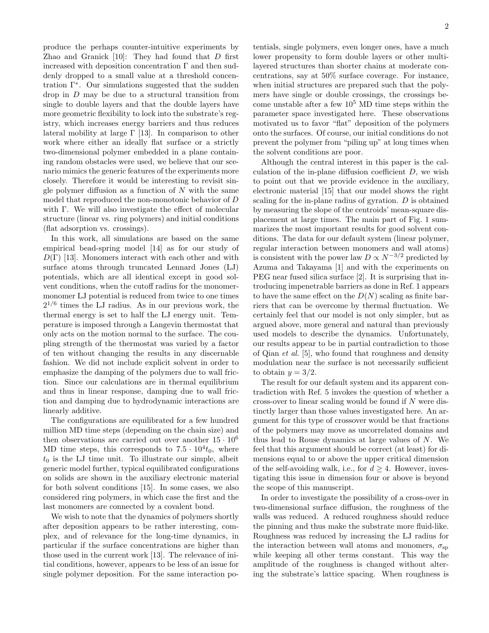produce the perhaps counter-intuitive experiments by Zhao and Granick  $[10]$ : They had found that D first increased with deposition concentration  $\Gamma$  and then suddenly dropped to a small value at a threshold concentration Γ<sup>∗</sup> . Our simulations suggested that the sudden drop in D may be due to a structural transition from single to double layers and that the double layers have more geometric flexibility to lock into the substrate's registry, which increases energy barriers and thus reduces lateral mobility at large  $\Gamma$  [13]. In comparison to other work where either an ideally flat surface or a strictly two-dimensional polymer embedded in a plane containing random obstacles were used, we believe that our scenario mimics the generic features of the experiments more closely. Therefore it would be interesting to revisit single polymer diffusion as a function of  $N$  with the same model that reproduced the non-monotonic behavior of D with Γ. We will also investigate the effect of molecular structure (linear vs. ring polymers) and initial conditions (flat adsorption vs. crossings).

In this work, all simulations are based on the same empirical bead-spring model [14] as for our study of  $D(\Gamma)$  [13]. Monomers interact with each other and with surface atoms through truncated Lennard Jones (LJ) potentials, which are all identical except in good solvent conditions, when the cutoff radius for the monomermonomer LJ potential is reduced from twice to one times  $2^{1/6}$  times the LJ radius. As in our previous work, the thermal energy is set to half the LJ energy unit. Temperature is imposed through a Langevin thermostat that only acts on the motion normal to the surface. The coupling strength of the thermostat was varied by a factor of ten without changing the results in any discernable fashion. We did not include explicit solvent in order to emphasize the damping of the polymers due to wall friction. Since our calculations are in thermal equilibrium and thus in linear response, damping due to wall friction and damping due to hydrodynamic interactions are linearly additive.

The configurations are equilibrated for a few hundred million MD time steps (depending on the chain size) and then observations are carried out over another  $15 \cdot 10^6$ MD time steps, this corresponds to  $7.5 \cdot 10^4 t_0$ , where  $t_0$  is the LJ time unit. To illustrate our simple, albeit generic model further, typical equilibrated configurations on solids are shown in the auxiliary electronic material for both solvent conditions [15]. In some cases, we also considered ring polymers, in which case the first and the last monomers are connected by a covalent bond.

We wish to note that the dynamics of polymers shortly after deposition appears to be rather interesting, complex, and of relevance for the long-time dynamics, in particular if the surface concentrations are higher than those used in the current work [13]. The relevance of initial conditions, however, appears to be less of an issue for single polymer deposition. For the same interaction po-

tentials, single polymers, even longer ones, have a much lower propensity to form double layers or other multilayered structures than shorter chains at moderate concentrations, say at 50% surface coverage. For instance, when initial structures are prepared such that the polymers have single or double crossings, the crossings become unstable after a few  $10^5$  MD time steps within the parameter space investigated here. These observations motivated us to favor "flat" deposition of the polymers onto the surfaces. Of course, our initial conditions do not prevent the polymer from "piling up" at long times when the solvent conditions are poor.

Although the central interest in this paper is the calculation of the in-plane diffusion coefficient  $D$ , we wish to point out that we provide evidence in the auxiliary, electronic material [15] that our model shows the right scaling for the in-plane radius of gyration. D is obtained by measuring the slope of the centroids' mean-square displacement at large times. The main part of Fig. 1 summarizes the most important results for good solvent conditions. The data for our default system (linear polymer, regular interaction between monomers and wall atoms) is consistent with the power law  $D \propto N^{-3/2}$  predicted by Azuma and Takayama [1] and with the experiments on PEG near fused silica surface [2]. It is surprising that introducing impenetrable barriers as done in Ref. 1 appears to have the same effect on the  $D(N)$  scaling as finite barriers that can be overcome by thermal fluctuation. We certainly feel that our model is not only simpler, but as argued above, more general and natural than previously used models to describe the dynamics. Unfortunately, our results appear to be in partial contradiction to those of Qian et al. [5], who found that roughness and density modulation near the surface is not necessarily sufficient to obtain  $y = 3/2$ .

The result for our default system and its apparent contradiction with Ref. 5 invokes the question of whether a cross-over to linear scaling would be found if N were distinctly larger than those values investigated here. An argument for this type of crossover would be that fractions of the polymers may move as uncorrelated domains and thus lead to Rouse dynamics at large values of  $N$ . We feel that this argument should be correct (at least) for dimensions equal to or above the upper critical dimension of the self-avoiding walk, i.e., for  $d > 4$ . However, investigating this issue in dimension four or above is beyond the scope of this manuscript.

In order to investigate the possibility of a cross-over in two-dimensional surface diffusion, the roughness of the walls was reduced. A reduced roughness should reduce the pinning and thus make the substrate more fluid-like. Roughness was reduced by increasing the LJ radius for the interaction between wall atoms and monomers,  $\sigma_{\rm SD}$ while keeping all other terms constant. This way the amplitude of the roughness is changed without altering the substrate's lattice spacing. When roughness is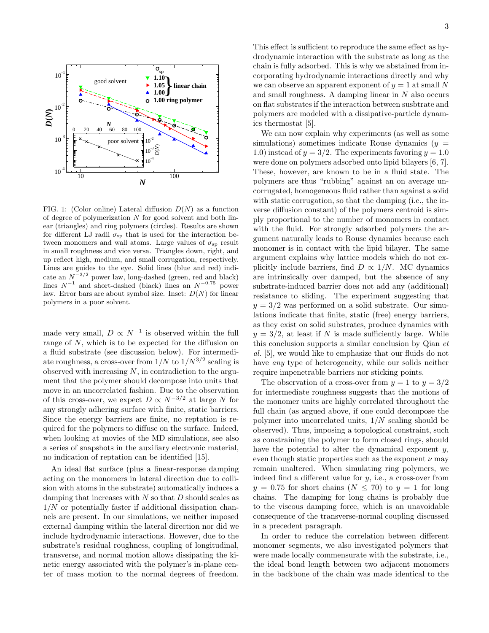

FIG. 1: (Color online) Lateral diffusion  $D(N)$  as a function of degree of polymerization N for good solvent and both linear (triangles) and ring polymers (circles). Results are shown for different LJ radii  $\sigma_{sp}$  that is used for the interaction between monomers and wall atoms. Large values of  $\sigma_{sp}$  result in small roughness and vice versa. Triangles down, right, and up reflect high, medium, and small corrugation, respectively. Lines are guides to the eye. Solid lines (blue and red) indicate an  $N^{-3/2}$  power law, long-dashed (green, red and black) lines  $N^{-1}$  and short-dashed (black) lines an  $N^{-0.75}$  power law. Error bars are about symbol size. Inset:  $D(N)$  for linear polymers in a poor solvent.

made very small,  $D \propto N^{-1}$  is observed within the full range of  $N$ , which is to be expected for the diffusion on a fluid substrate (see discussion below). For intermediate roughness, a cross-over from  $1/N$  to  $1/N^{3/2}$  scaling is observed with increasing  $N$ , in contradiction to the argument that the polymer should decompose into units that move in an uncorrelated fashion. Due to the observation of this cross-over, we expect  $D \propto N^{-3/2}$  at large N for any strongly adhering surface with finite, static barriers. Since the energy barriers are finite, no reptation is required for the polymers to diffuse on the surface. Indeed, when looking at movies of the MD simulations, see also a series of snapshots in the auxiliary electronic material, no indication of reptation can be identified [15].

An ideal flat surface (plus a linear-response damping acting on the monomers in lateral direction due to collision with atoms in the substrate) automatically induces a damping that increases with  $N$  so that  $D$  should scales as  $1/N$  or potentially faster if additional dissipation channels are present. In our simulations, we neither imposed external damping within the lateral direction nor did we include hydrodynamic interactions. However, due to the substrate's residual roughness, coupling of longitudinal, transverse, and normal motion allows dissipating the kinetic energy associated with the polymer's in-plane center of mass motion to the normal degrees of freedom.

This effect is sufficient to reproduce the same effect as hydrodynamic interaction with the substrate as long as the chain is fully adsorbed. This is why we abstained from incorporating hydrodynamic interactions directly and why we can observe an apparent exponent of  $y = 1$  at small N and small roughness. A damping linear in  $N$  also occurs on flat substrates if the interaction between susbtrate and polymers are modeled with a dissipative-particle dynamics thermostat [5].

We can now explain why experiments (as well as some simulations) sometimes indicate Rouse dynamics  $(y =$ 1.0) instead of  $y = 3/2$ . The experiments favoring  $y = 1.0$ were done on polymers adsorbed onto lipid bilayers [6, 7]. These, however, are known to be in a fluid state. The polymers are thus "rubbing" against an on average uncorrugated, homogeneous fluid rather than against a solid with static corrugation, so that the damping (i.e., the inverse diffusion constant) of the polymers centroid is simply proportional to the number of monomers in contact with the fluid. For strongly adsorbed polymers the argument naturally leads to Rouse dynamics because each monomer is in contact with the lipid bilayer. The same argument explains why lattice models which do not explicitly include barriers, find  $D \propto 1/N$ . MC dynamics are intrinsically over damped, but the absence of any substrate-induced barrier does not add any (additional) resistance to sliding. The experiment suggesting that  $y = 3/2$  was performed on a solid substrate. Our simulations indicate that finite, static (free) energy barriers, as they exist on solid substrates, produce dynamics with  $y = 3/2$ , at least if N is made sufficiently large. While this conclusion supports a similar conclusion by Qian et al. [5], we would like to emphasize that our fluids do not have *any* type of heterogeneity, while our solids neither require impenetrable barriers nor sticking points.

The observation of a cross-over from  $y = 1$  to  $y = 3/2$ for intermediate roughness suggests that the motions of the monomer units are highly correlated throughout the full chain (as argued above, if one could decompose the polymer into uncorrelated units,  $1/N$  scaling should be observed). Thus, imposing a topological constraint, such as constraining the polymer to form closed rings, should have the potential to alter the dynamical exponent  $y$ , even though static properties such as the exponent  $\nu$  may remain unaltered. When simulating ring polymers, we indeed find a different value for y, i.e., a cross-over from  $y = 0.75$  for short chains  $(N \leq 70)$  to  $y = 1$  for long chains. The damping for long chains is probably due to the viscous damping force, which is an unavoidable consequence of the transverse-normal coupling discussed in a precedent paragraph.

In order to reduce the correlation between different monomer segments, we also investigated polymers that were made locally commensurate with the substrate, i.e., the ideal bond length between two adjacent monomers in the backbone of the chain was made identical to the